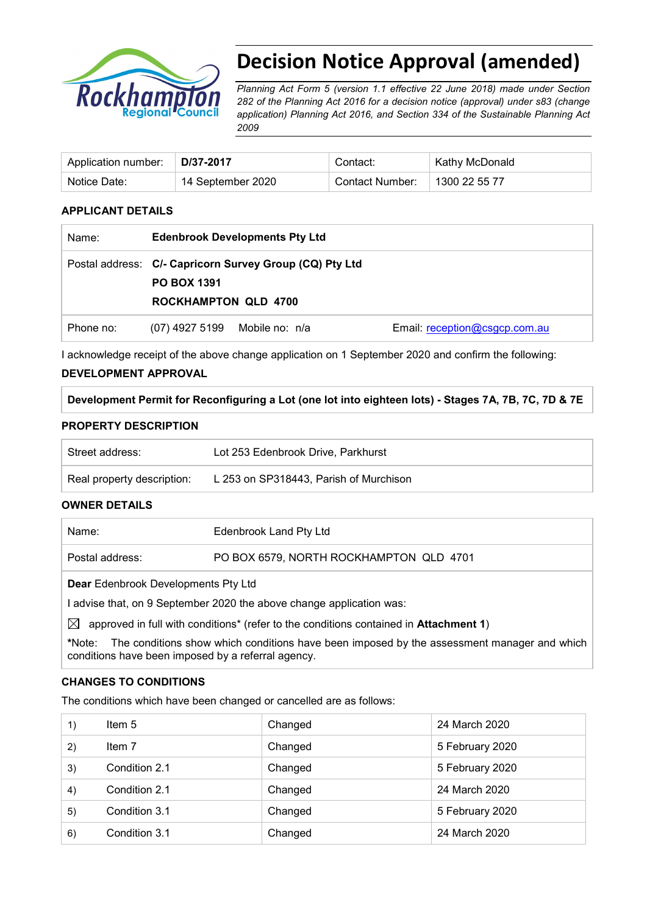

# **Decision Notice Approval (amended)**

*Planning Act Form 5 (version 1.1 effective 22 June 2018) made under Section 282 of the Planning Act 2016 for a decision notice (approval) under s83 (change application) Planning Act 2016, and Section 334 of the Sustainable Planning Act 2009*

| Application number: | D/37-2017         | Contact:        | Kathy McDonald |
|---------------------|-------------------|-----------------|----------------|
| Notice Date:        | 14 September 2020 | Contact Number: | 1300 22 55 77  |

# **APPLICANT DETAILS**

| Name:     | <b>Edenbrook Developments Pty Ltd</b>             |                                                         |                               |
|-----------|---------------------------------------------------|---------------------------------------------------------|-------------------------------|
|           | <b>PO BOX 1391</b><br><b>ROCKHAMPTON QLD 4700</b> | Postal address: C/- Capricorn Survey Group (CQ) Pty Ltd |                               |
| Phone no: | (07) 4927 5199 Mobile no: n/a                     |                                                         | Email: reception@csgcp.com.au |

I acknowledge receipt of the above change application on 1 September 2020 and confirm the following:

# **DEVELOPMENT APPROVAL**

| Development Permit for Reconfiguring a Lot (one lot into eighteen lots) - Stages 7A, 7B, 7C, 7D & 7E |  |  |  |  |
|------------------------------------------------------------------------------------------------------|--|--|--|--|
|                                                                                                      |  |  |  |  |

#### **PROPERTY DESCRIPTION**

| Street address:            | Lot 253 Edenbrook Drive, Parkhurst     |  |
|----------------------------|----------------------------------------|--|
| Real property description: | L 253 on SP318443, Parish of Murchison |  |
| AUBURD BETAILA             |                                        |  |

#### **OWNER DETAILS**

| Name:           | Edenbrook Land Pty Ltd                  |
|-----------------|-----------------------------------------|
| Postal address: | PO BOX 6579, NORTH ROCKHAMPTON QLD 4701 |
|                 |                                         |

**Dear** Edenbrook Developments Pty Ltd

I advise that, on 9 September 2020 the above change application was:

 $\boxtimes$  approved in full with conditions<sup>\*</sup> (refer to the conditions contained in **Attachment 1**)

**\***Note:The conditions show which conditions have been imposed by the assessment manager and which conditions have been imposed by a referral agency.

# **CHANGES TO CONDITIONS**

The conditions which have been changed or cancelled are as follows:

| 1) | Item $5$      | Changed | 24 March 2020   |
|----|---------------|---------|-----------------|
| 2) | Item 7        | Changed | 5 February 2020 |
| 3) | Condition 2.1 | Changed | 5 February 2020 |
| 4) | Condition 2.1 | Changed | 24 March 2020   |
| 5) | Condition 3.1 | Changed | 5 February 2020 |
| 6) | Condition 3.1 | Changed | 24 March 2020   |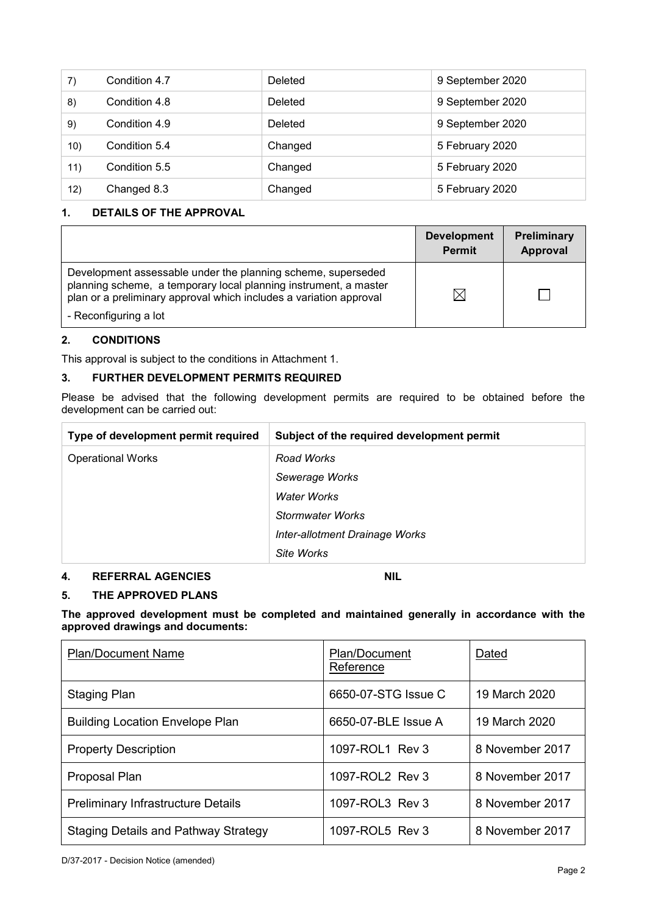| $\mathsf{7}$ | Condition 4.7 | <b>Deleted</b> | 9 September 2020 |
|--------------|---------------|----------------|------------------|
| 8)           | Condition 4.8 | Deleted        | 9 September 2020 |
| 9)           | Condition 4.9 | <b>Deleted</b> | 9 September 2020 |
| 10)          | Condition 5.4 | Changed        | 5 February 2020  |
| 11)          | Condition 5.5 | Changed        | 5 February 2020  |
| 12)          | Changed 8.3   | Changed        | 5 February 2020  |

# **1. DETAILS OF THE APPROVAL**

|                                                                                                                                                                                                        | <b>Development</b><br><b>Permit</b> | Preliminary<br>Approval |
|--------------------------------------------------------------------------------------------------------------------------------------------------------------------------------------------------------|-------------------------------------|-------------------------|
| Development assessable under the planning scheme, superseded<br>planning scheme, a temporary local planning instrument, a master<br>plan or a preliminary approval which includes a variation approval |                                     |                         |
| - Reconfiguring a lot                                                                                                                                                                                  |                                     |                         |

#### **2. CONDITIONS**

This approval is subject to the conditions in Attachment 1.

#### **3. FURTHER DEVELOPMENT PERMITS REQUIRED**

Please be advised that the following development permits are required to be obtained before the development can be carried out:

| Type of development permit required | Subject of the required development permit |
|-------------------------------------|--------------------------------------------|
| <b>Operational Works</b>            | Road Works                                 |
|                                     | Sewerage Works                             |
|                                     | Water Works                                |
|                                     | Stormwater Works                           |
|                                     | Inter-allotment Drainage Works             |
|                                     | Site Works                                 |

#### **4. REFERRAL AGENCIES NIL**

# **5. THE APPROVED PLANS**

**The approved development must be completed and maintained generally in accordance with the approved drawings and documents:**

| <b>Plan/Document Name</b>                   | <b>Plan/Document</b><br>Reference | Dated           |
|---------------------------------------------|-----------------------------------|-----------------|
| Staging Plan                                | 6650-07-STG Issue C               | 19 March 2020   |
| <b>Building Location Envelope Plan</b>      | 6650-07-BLE Issue A               | 19 March 2020   |
| <b>Property Description</b>                 | 1097-ROL1 Rev 3                   | 8 November 2017 |
| Proposal Plan                               | 1097-ROL2 Rev 3                   | 8 November 2017 |
| <b>Preliminary Infrastructure Details</b>   | 1097-ROL3 Rev 3                   | 8 November 2017 |
| <b>Staging Details and Pathway Strategy</b> | 1097-ROL5 Rev 3                   | 8 November 2017 |

D/37-2017 - Decision Notice (amended)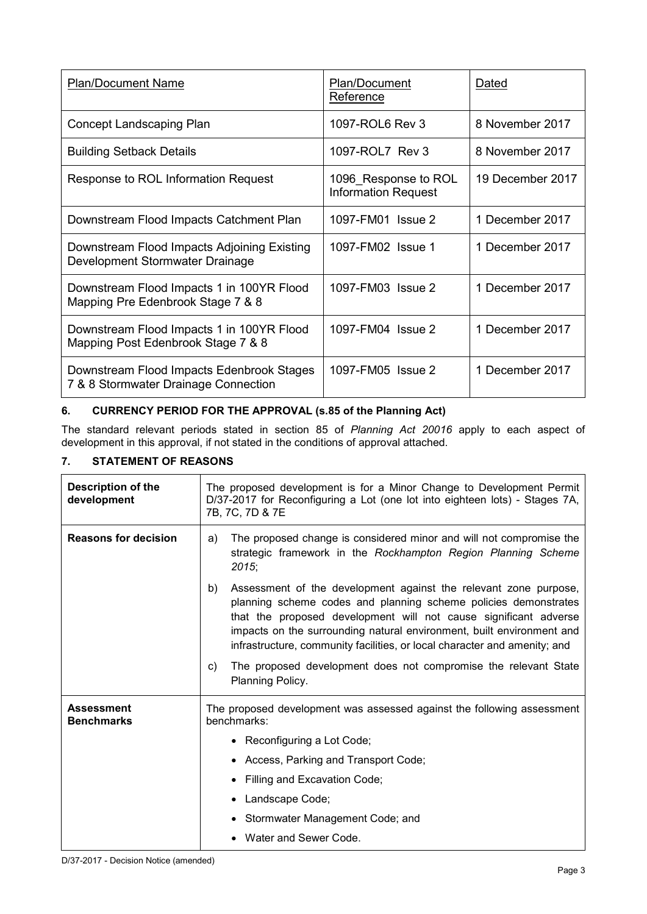| <b>Plan/Document Name</b>                                                         | Plan/Document<br>Reference                         | Dated            |
|-----------------------------------------------------------------------------------|----------------------------------------------------|------------------|
| Concept Landscaping Plan                                                          | 1097-ROL6 Rev 3                                    | 8 November 2017  |
| <b>Building Setback Details</b>                                                   | 1097-ROL7 Rev 3                                    | 8 November 2017  |
| Response to ROL Information Request                                               | 1096 Response to ROL<br><b>Information Request</b> | 19 December 2017 |
| Downstream Flood Impacts Catchment Plan                                           | 1097-FM01 Issue 2                                  | 1 December 2017  |
| Downstream Flood Impacts Adjoining Existing<br>Development Stormwater Drainage    | 1097-FM02 Issue 1                                  | 1 December 2017  |
| Downstream Flood Impacts 1 in 100YR Flood<br>Mapping Pre Edenbrook Stage 7 & 8    | 1097-FM03 Issue 2                                  | 1 December 2017  |
| Downstream Flood Impacts 1 in 100YR Flood<br>Mapping Post Edenbrook Stage 7 & 8   | 1097-FM04 Issue 2                                  | 1 December 2017  |
| Downstream Flood Impacts Edenbrook Stages<br>7 & 8 Stormwater Drainage Connection | 1097-FM05 Issue 2                                  | 1 December 2017  |

# **6. CURRENCY PERIOD FOR THE APPROVAL (s.85 of the Planning Act)**

The standard relevant periods stated in section 85 of *Planning Act 20016* apply to each aspect of development in this approval, if not stated in the conditions of approval attached.

# **7. STATEMENT OF REASONS**

| <b>Description of the</b><br>development | The proposed development is for a Minor Change to Development Permit<br>D/37-2017 for Reconfiguring a Lot (one lot into eighteen lots) - Stages 7A,<br>7B, 7C, 7D & 7E                                                                                                                                                                                              |  |
|------------------------------------------|---------------------------------------------------------------------------------------------------------------------------------------------------------------------------------------------------------------------------------------------------------------------------------------------------------------------------------------------------------------------|--|
| <b>Reasons for decision</b>              | The proposed change is considered minor and will not compromise the<br>a)<br>strategic framework in the Rockhampton Region Planning Scheme<br>2015;                                                                                                                                                                                                                 |  |
|                                          | Assessment of the development against the relevant zone purpose,<br>b)<br>planning scheme codes and planning scheme policies demonstrates<br>that the proposed development will not cause significant adverse<br>impacts on the surrounding natural environment, built environment and<br>infrastructure, community facilities, or local character and amenity; and |  |
|                                          | The proposed development does not compromise the relevant State<br>C)<br>Planning Policy.                                                                                                                                                                                                                                                                           |  |
| <b>Assessment</b><br><b>Benchmarks</b>   | The proposed development was assessed against the following assessment<br>benchmarks:                                                                                                                                                                                                                                                                               |  |
|                                          | Reconfiguring a Lot Code;                                                                                                                                                                                                                                                                                                                                           |  |
|                                          | Access, Parking and Transport Code;                                                                                                                                                                                                                                                                                                                                 |  |
|                                          | Filling and Excavation Code;                                                                                                                                                                                                                                                                                                                                        |  |
|                                          | Landscape Code;                                                                                                                                                                                                                                                                                                                                                     |  |
|                                          | Stormwater Management Code; and                                                                                                                                                                                                                                                                                                                                     |  |
|                                          | Water and Sewer Code.                                                                                                                                                                                                                                                                                                                                               |  |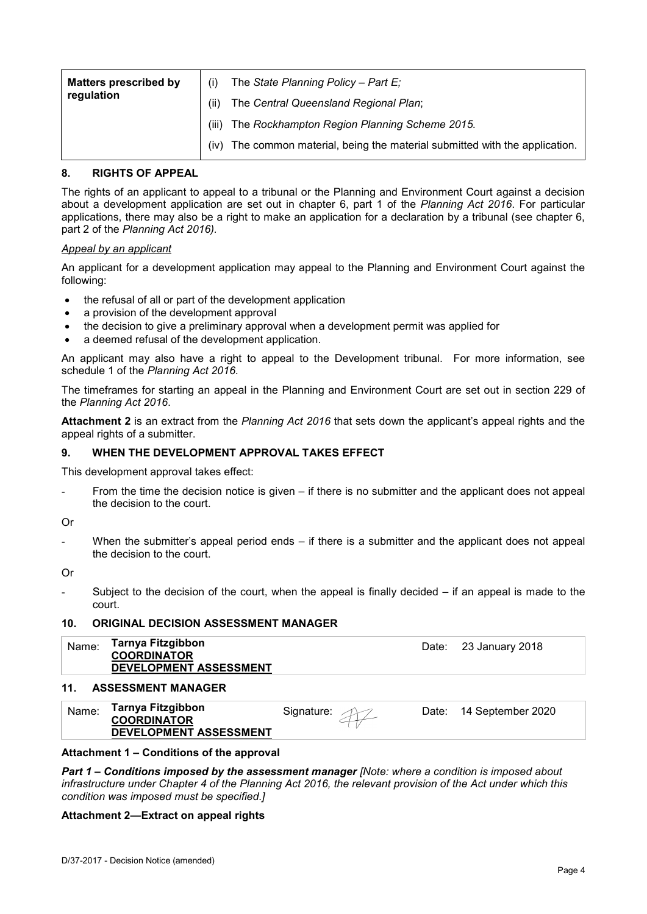| <b>Matters prescribed by</b> |       | The State Planning Policy - Part $E_i$                                  |
|------------------------------|-------|-------------------------------------------------------------------------|
| regulation                   | (ii)  | The Central Queensland Regional Plan;                                   |
|                              | (iii) | The Rockhampton Region Planning Scheme 2015.                            |
|                              | (iv)  | The common material, being the material submitted with the application. |

#### **8. RIGHTS OF APPEAL**

The rights of an applicant to appeal to a tribunal or the Planning and Environment Court against a decision about a development application are set out in chapter 6, part 1 of the *Planning Act 2016*. For particular applications, there may also be a right to make an application for a declaration by a tribunal (see chapter 6, part 2 of the *Planning Act 2016).*

#### *Appeal by an applicant*

An applicant for a development application may appeal to the Planning and Environment Court against the following:

- the refusal of all or part of the development application
- a provision of the development approval
- the decision to give a preliminary approval when a development permit was applied for
- a deemed refusal of the development application.

An applicant may also have a right to appeal to the Development tribunal. For more information, see schedule 1 of the *Planning Act 2016*.

The timeframes for starting an appeal in the Planning and Environment Court are set out in section 229 of the *Planning Act 2016*.

**Attachment 2** is an extract from the *Planning Act 2016* that sets down the applicant's appeal rights and the appeal rights of a submitter.

#### **9. WHEN THE DEVELOPMENT APPROVAL TAKES EFFECT**

This development approval takes effect:

- From the time the decision notice is given if there is no submitter and the applicant does not appeal the decision to the court.
- Or
- When the submitter's appeal period ends  $-$  if there is a submitter and the applicant does not appeal the decision to the court.
- Or
- Subject to the decision of the court, when the appeal is finally decided  $-$  if an appeal is made to the court.

#### **10. ORIGINAL DECISION ASSESSMENT MANAGER**

| Name: | Tarnya Fitzgibbon<br><b>COORDINATOR</b><br>DEVELOPMENT ASSESSMENT | Date: 23 January 2018 |
|-------|-------------------------------------------------------------------|-----------------------|
| 11    | ACCECCMENT MANAGER                                                |                       |

#### **11. ASSESSMENT MANAGER**

| Name: | Tarnya Fitzgibbon<br><b>COORDINATOR</b> | Signature: | Date: | 14 September 2020 |
|-------|-----------------------------------------|------------|-------|-------------------|
|       | <b>DEVELOPMENT ASSESSMENT</b>           |            |       |                   |

#### **Attachment 1 – Conditions of the approval**

*Part 1* **–** *Conditions imposed by the assessment manager [Note: where a condition is imposed about infrastructure under Chapter 4 of the Planning Act 2016, the relevant provision of the Act under which this condition was imposed must be specified.]*

#### **Attachment 2—Extract on appeal rights**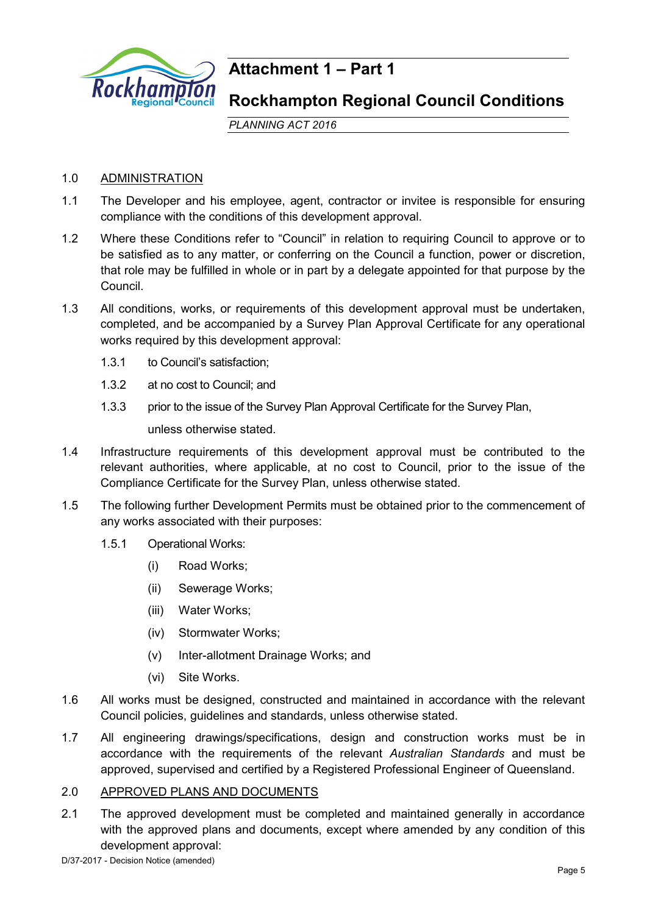

# **Attachment 1 – Part 1**

# **Rockhampton Regional Council Conditions**

*PLANNING ACT 2016*

# 1.0 ADMINISTRATION

- 1.1 The Developer and his employee, agent, contractor or invitee is responsible for ensuring compliance with the conditions of this development approval.
- 1.2 Where these Conditions refer to "Council" in relation to requiring Council to approve or to be satisfied as to any matter, or conferring on the Council a function, power or discretion, that role may be fulfilled in whole or in part by a delegate appointed for that purpose by the Council.
- 1.3 All conditions, works, or requirements of this development approval must be undertaken, completed, and be accompanied by a Survey Plan Approval Certificate for any operational works required by this development approval:
	- 1.3.1 to Council's satisfaction;
	- 1.3.2 at no cost to Council; and
	- 1.3.3 prior to the issue of the Survey Plan Approval Certificate for the Survey Plan,

unless otherwise stated.

- 1.4 Infrastructure requirements of this development approval must be contributed to the relevant authorities, where applicable, at no cost to Council, prior to the issue of the Compliance Certificate for the Survey Plan, unless otherwise stated.
- 1.5 The following further Development Permits must be obtained prior to the commencement of any works associated with their purposes:
	- 1.5.1 Operational Works:
		- (i) Road Works;
		- (ii) Sewerage Works;
		- (iii) Water Works;
		- (iv) Stormwater Works;
		- (v) Inter-allotment Drainage Works; and
		- (vi) Site Works.
- 1.6 All works must be designed, constructed and maintained in accordance with the relevant Council policies, guidelines and standards, unless otherwise stated.
- 1.7 All engineering drawings/specifications, design and construction works must be in accordance with the requirements of the relevant *Australian Standards* and must be approved, supervised and certified by a Registered Professional Engineer of Queensland.

# 2.0 APPROVED PLANS AND DOCUMENTS

2.1 The approved development must be completed and maintained generally in accordance with the approved plans and documents, except where amended by any condition of this development approval: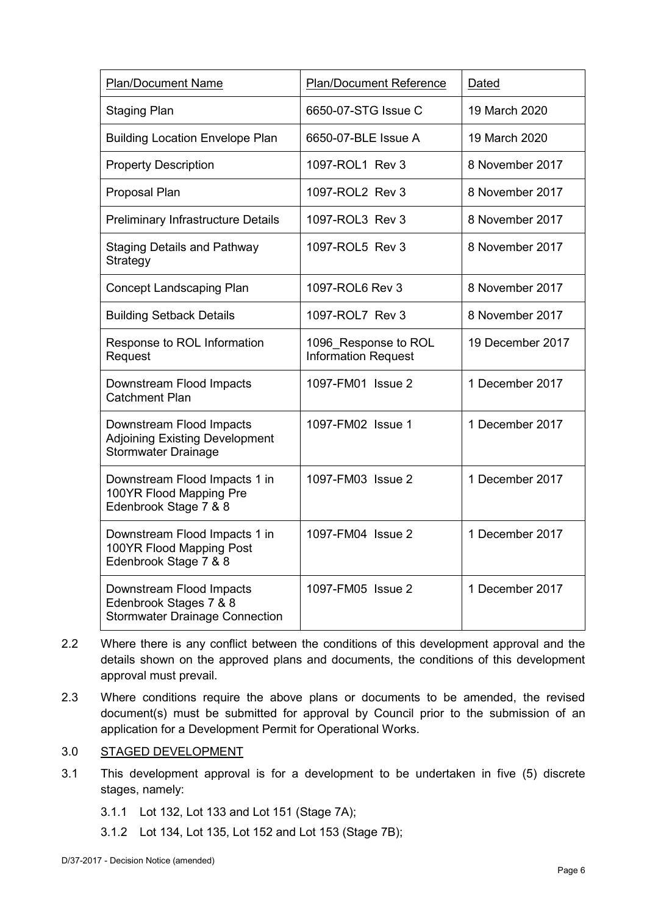| <b>Plan/Document Name</b>                                                                       | <b>Plan/Document Reference</b>                     | Dated            |
|-------------------------------------------------------------------------------------------------|----------------------------------------------------|------------------|
| <b>Staging Plan</b>                                                                             | 6650-07-STG Issue C                                | 19 March 2020    |
| <b>Building Location Envelope Plan</b>                                                          | 6650-07-BLE Issue A                                | 19 March 2020    |
| <b>Property Description</b>                                                                     | 1097-ROL1 Rev 3                                    | 8 November 2017  |
| Proposal Plan                                                                                   | 1097-ROL2 Rev 3                                    | 8 November 2017  |
| <b>Preliminary Infrastructure Details</b>                                                       | 1097-ROL3 Rev 3                                    | 8 November 2017  |
| <b>Staging Details and Pathway</b><br>Strategy                                                  | 1097-ROL5 Rev 3                                    | 8 November 2017  |
| <b>Concept Landscaping Plan</b>                                                                 | 1097-ROL6 Rev 3                                    | 8 November 2017  |
| <b>Building Setback Details</b>                                                                 | 1097-ROL7 Rev 3                                    | 8 November 2017  |
| Response to ROL Information<br>Request                                                          | 1096 Response to ROL<br><b>Information Request</b> | 19 December 2017 |
| Downstream Flood Impacts<br><b>Catchment Plan</b>                                               | 1097-FM01 Issue 2                                  | 1 December 2017  |
| Downstream Flood Impacts<br><b>Adjoining Existing Development</b><br><b>Stormwater Drainage</b> | 1097-FM02 Issue 1                                  | 1 December 2017  |
| Downstream Flood Impacts 1 in<br>100YR Flood Mapping Pre<br>Edenbrook Stage 7 & 8               | 1097-FM03 Issue 2                                  | 1 December 2017  |
| Downstream Flood Impacts 1 in<br>100YR Flood Mapping Post<br>Edenbrook Stage 7 & 8              | 1097-FM04 Issue 2                                  | 1 December 2017  |
| Downstream Flood Impacts<br>Edenbrook Stages 7 & 8<br><b>Stormwater Drainage Connection</b>     | 1097-FM05 Issue 2                                  | 1 December 2017  |

- 2.2 Where there is any conflict between the conditions of this development approval and the details shown on the approved plans and documents, the conditions of this development approval must prevail.
- 2.3 Where conditions require the above plans or documents to be amended, the revised document(s) must be submitted for approval by Council prior to the submission of an application for a Development Permit for Operational Works.

# 3.0 STAGED DEVELOPMENT

- 3.1 This development approval is for a development to be undertaken in five (5) discrete stages, namely:
	- 3.1.1 Lot 132, Lot 133 and Lot 151 (Stage 7A);
	- 3.1.2 Lot 134, Lot 135, Lot 152 and Lot 153 (Stage 7B);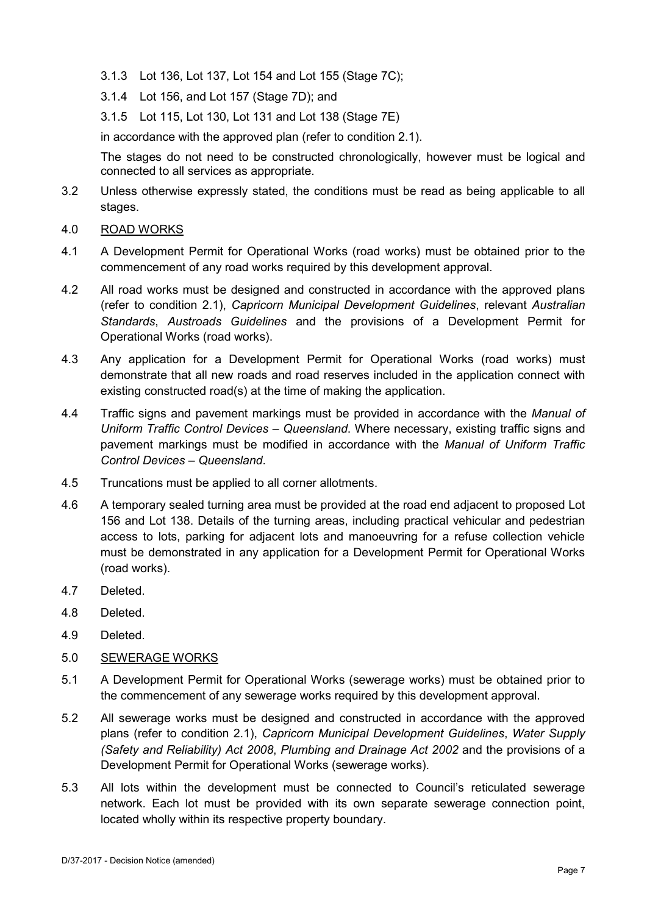- 3.1.3 Lot 136, Lot 137, Lot 154 and Lot 155 (Stage 7C);
- 3.1.4 Lot 156, and Lot 157 (Stage 7D); and
- 3.1.5 Lot 115, Lot 130, Lot 131 and Lot 138 (Stage 7E)

in accordance with the approved plan (refer to condition 2.1).

The stages do not need to be constructed chronologically, however must be logical and connected to all services as appropriate.

- 3.2 Unless otherwise expressly stated, the conditions must be read as being applicable to all stages.
- 4.0 ROAD WORKS
- 4.1 A Development Permit for Operational Works (road works) must be obtained prior to the commencement of any road works required by this development approval.
- 4.2 All road works must be designed and constructed in accordance with the approved plans (refer to condition 2.1), *Capricorn Municipal Development Guidelines*, relevant *Australian Standards*, *Austroads Guidelines* and the provisions of a Development Permit for Operational Works (road works).
- 4.3 Any application for a Development Permit for Operational Works (road works) must demonstrate that all new roads and road reserves included in the application connect with existing constructed road(s) at the time of making the application.
- 4.4 Traffic signs and pavement markings must be provided in accordance with the *Manual of Uniform Traffic Control Devices – Queensland*. Where necessary, existing traffic signs and pavement markings must be modified in accordance with the *Manual of Uniform Traffic Control Devices – Queensland*.
- 4.5 Truncations must be applied to all corner allotments.
- 4.6 A temporary sealed turning area must be provided at the road end adjacent to proposed Lot 156 and Lot 138. Details of the turning areas, including practical vehicular and pedestrian access to lots, parking for adjacent lots and manoeuvring for a refuse collection vehicle must be demonstrated in any application for a Development Permit for Operational Works (road works).
- 4.7 Deleted.
- 4.8 Deleted.
- 4.9 Deleted.
- 5.0 SEWERAGE WORKS
- 5.1 A Development Permit for Operational Works (sewerage works) must be obtained prior to the commencement of any sewerage works required by this development approval.
- 5.2 All sewerage works must be designed and constructed in accordance with the approved plans (refer to condition 2.1), *Capricorn Municipal Development Guidelines*, *Water Supply (Safety and Reliability) Act 2008*, *Plumbing and Drainage Act 2002* and the provisions of a Development Permit for Operational Works (sewerage works).
- 5.3 All lots within the development must be connected to Council's reticulated sewerage network. Each lot must be provided with its own separate sewerage connection point, located wholly within its respective property boundary.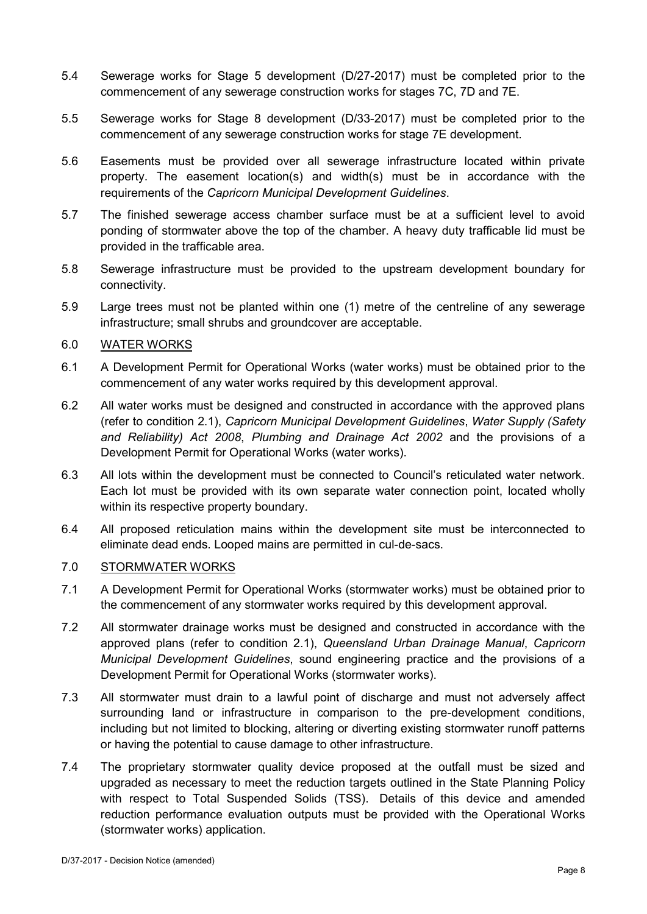- 5.4 Sewerage works for Stage 5 development (D/27-2017) must be completed prior to the commencement of any sewerage construction works for stages 7C, 7D and 7E.
- 5.5 Sewerage works for Stage 8 development (D/33-2017) must be completed prior to the commencement of any sewerage construction works for stage 7E development.
- 5.6 Easements must be provided over all sewerage infrastructure located within private property. The easement location(s) and width(s) must be in accordance with the requirements of the *Capricorn Municipal Development Guidelines*.
- 5.7 The finished sewerage access chamber surface must be at a sufficient level to avoid ponding of stormwater above the top of the chamber. A heavy duty trafficable lid must be provided in the trafficable area.
- 5.8 Sewerage infrastructure must be provided to the upstream development boundary for connectivity.
- 5.9 Large trees must not be planted within one (1) metre of the centreline of any sewerage infrastructure; small shrubs and groundcover are acceptable.

# 6.0 WATER WORKS

- 6.1 A Development Permit for Operational Works (water works) must be obtained prior to the commencement of any water works required by this development approval.
- 6.2 All water works must be designed and constructed in accordance with the approved plans (refer to condition 2.1), *Capricorn Municipal Development Guidelines*, *Water Supply (Safety and Reliability) Act 2008*, *Plumbing and Drainage Act 2002* and the provisions of a Development Permit for Operational Works (water works).
- 6.3 All lots within the development must be connected to Council's reticulated water network. Each lot must be provided with its own separate water connection point, located wholly within its respective property boundary.
- 6.4 All proposed reticulation mains within the development site must be interconnected to eliminate dead ends. Looped mains are permitted in cul-de-sacs.

# 7.0 STORMWATER WORKS

- 7.1 A Development Permit for Operational Works (stormwater works) must be obtained prior to the commencement of any stormwater works required by this development approval.
- 7.2 All stormwater drainage works must be designed and constructed in accordance with the approved plans (refer to condition 2.1), *Queensland Urban Drainage Manual*, *Capricorn Municipal Development Guidelines*, sound engineering practice and the provisions of a Development Permit for Operational Works (stormwater works).
- 7.3 All stormwater must drain to a lawful point of discharge and must not adversely affect surrounding land or infrastructure in comparison to the pre-development conditions, including but not limited to blocking, altering or diverting existing stormwater runoff patterns or having the potential to cause damage to other infrastructure.
- 7.4 The proprietary stormwater quality device proposed at the outfall must be sized and upgraded as necessary to meet the reduction targets outlined in the State Planning Policy with respect to Total Suspended Solids (TSS). Details of this device and amended reduction performance evaluation outputs must be provided with the Operational Works (stormwater works) application.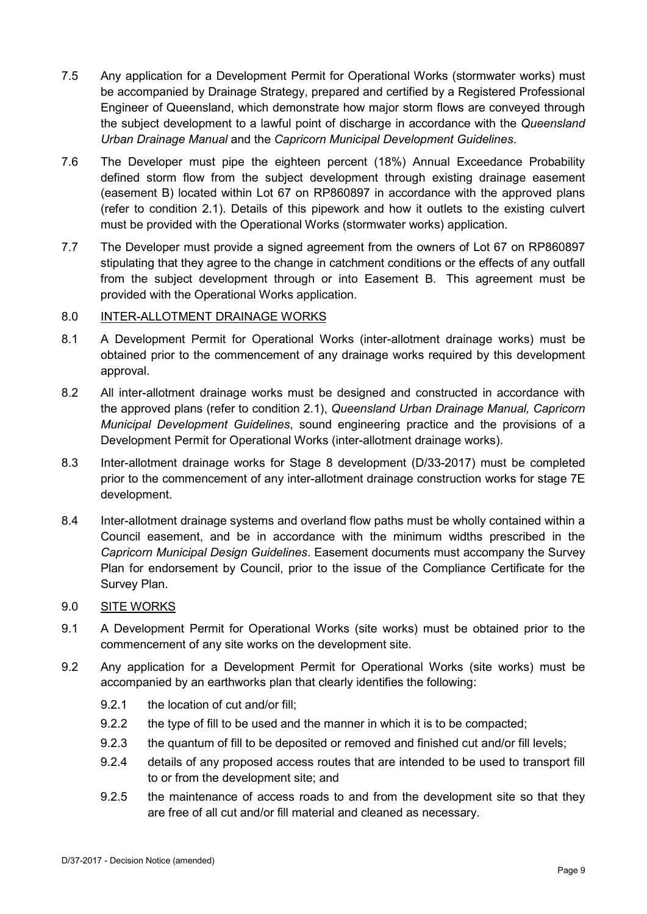- 7.5 Any application for a Development Permit for Operational Works (stormwater works) must be accompanied by Drainage Strategy, prepared and certified by a Registered Professional Engineer of Queensland, which demonstrate how major storm flows are conveyed through the subject development to a lawful point of discharge in accordance with the *Queensland Urban Drainage Manual* and the *Capricorn Municipal Development Guidelines*.
- 7.6 The Developer must pipe the eighteen percent (18%) Annual Exceedance Probability defined storm flow from the subject development through existing drainage easement (easement B) located within Lot 67 on RP860897 in accordance with the approved plans (refer to condition 2.1). Details of this pipework and how it outlets to the existing culvert must be provided with the Operational Works (stormwater works) application.
- 7.7 The Developer must provide a signed agreement from the owners of Lot 67 on RP860897 stipulating that they agree to the change in catchment conditions or the effects of any outfall from the subject development through or into Easement B. This agreement must be provided with the Operational Works application.

# 8.0 INTER-ALLOTMENT DRAINAGE WORKS

- 8.1 A Development Permit for Operational Works (inter-allotment drainage works) must be obtained prior to the commencement of any drainage works required by this development approval.
- 8.2 All inter-allotment drainage works must be designed and constructed in accordance with the approved plans (refer to condition 2.1), *Queensland Urban Drainage Manual, Capricorn Municipal Development Guidelines*, sound engineering practice and the provisions of a Development Permit for Operational Works (inter-allotment drainage works).
- 8.3 Inter-allotment drainage works for Stage 8 development (D/33-2017) must be completed prior to the commencement of any inter-allotment drainage construction works for stage 7E development.
- 8.4 Inter-allotment drainage systems and overland flow paths must be wholly contained within a Council easement, and be in accordance with the minimum widths prescribed in the *Capricorn Municipal Design Guidelines*. Easement documents must accompany the Survey Plan for endorsement by Council, prior to the issue of the Compliance Certificate for the Survey Plan.

# 9.0 SITE WORKS

- 9.1 A Development Permit for Operational Works (site works) must be obtained prior to the commencement of any site works on the development site.
- 9.2 Any application for a Development Permit for Operational Works (site works) must be accompanied by an earthworks plan that clearly identifies the following:
	- 9.2.1 the location of cut and/or fill;
	- 9.2.2 the type of fill to be used and the manner in which it is to be compacted;
	- 9.2.3 the quantum of fill to be deposited or removed and finished cut and/or fill levels;
	- 9.2.4 details of any proposed access routes that are intended to be used to transport fill to or from the development site; and
	- 9.2.5 the maintenance of access roads to and from the development site so that they are free of all cut and/or fill material and cleaned as necessary.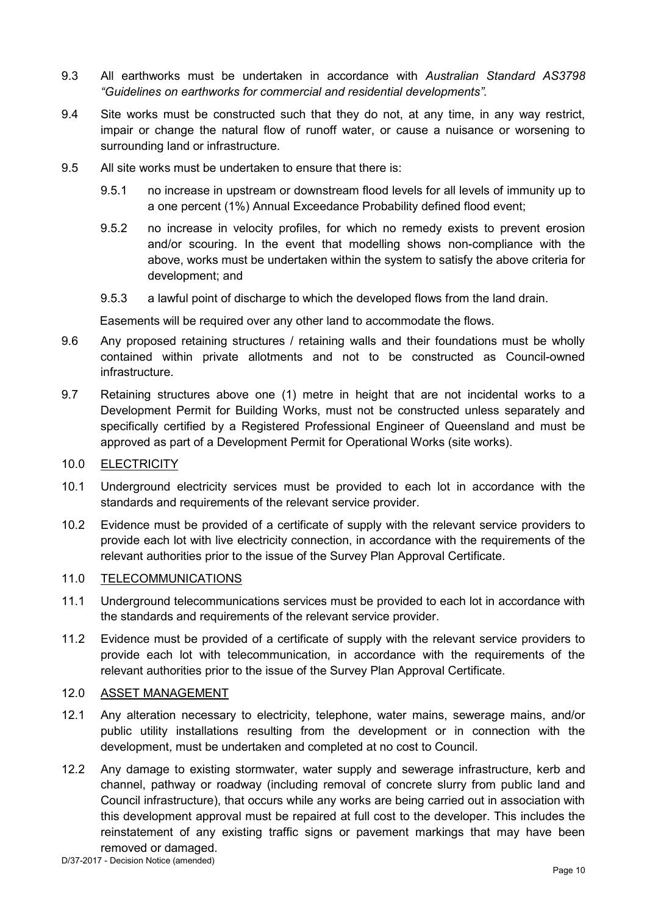- 9.3 All earthworks must be undertaken in accordance with *Australian Standard AS3798 "Guidelines on earthworks for commercial and residential developments".*
- 9.4 Site works must be constructed such that they do not, at any time, in any way restrict, impair or change the natural flow of runoff water, or cause a nuisance or worsening to surrounding land or infrastructure.
- 9.5 All site works must be undertaken to ensure that there is:
	- 9.5.1 no increase in upstream or downstream flood levels for all levels of immunity up to a one percent (1%) Annual Exceedance Probability defined flood event;
	- 9.5.2 no increase in velocity profiles, for which no remedy exists to prevent erosion and/or scouring. In the event that modelling shows non-compliance with the above, works must be undertaken within the system to satisfy the above criteria for development; and
	- 9.5.3 a lawful point of discharge to which the developed flows from the land drain.

Easements will be required over any other land to accommodate the flows.

- 9.6 Any proposed retaining structures / retaining walls and their foundations must be wholly contained within private allotments and not to be constructed as Council-owned infrastructure.
- 9.7 Retaining structures above one (1) metre in height that are not incidental works to a Development Permit for Building Works, must not be constructed unless separately and specifically certified by a Registered Professional Engineer of Queensland and must be approved as part of a Development Permit for Operational Works (site works).
- 10.0 ELECTRICITY
- 10.1 Underground electricity services must be provided to each lot in accordance with the standards and requirements of the relevant service provider.
- 10.2 Evidence must be provided of a certificate of supply with the relevant service providers to provide each lot with live electricity connection, in accordance with the requirements of the relevant authorities prior to the issue of the Survey Plan Approval Certificate.

# 11.0 TELECOMMUNICATIONS

- 11.1 Underground telecommunications services must be provided to each lot in accordance with the standards and requirements of the relevant service provider.
- 11.2 Evidence must be provided of a certificate of supply with the relevant service providers to provide each lot with telecommunication, in accordance with the requirements of the relevant authorities prior to the issue of the Survey Plan Approval Certificate.

#### 12.0 ASSET MANAGEMENT

- 12.1 Any alteration necessary to electricity, telephone, water mains, sewerage mains, and/or public utility installations resulting from the development or in connection with the development, must be undertaken and completed at no cost to Council.
- 12.2 Any damage to existing stormwater, water supply and sewerage infrastructure, kerb and channel, pathway or roadway (including removal of concrete slurry from public land and Council infrastructure), that occurs while any works are being carried out in association with this development approval must be repaired at full cost to the developer. This includes the reinstatement of any existing traffic signs or pavement markings that may have been removed or damaged.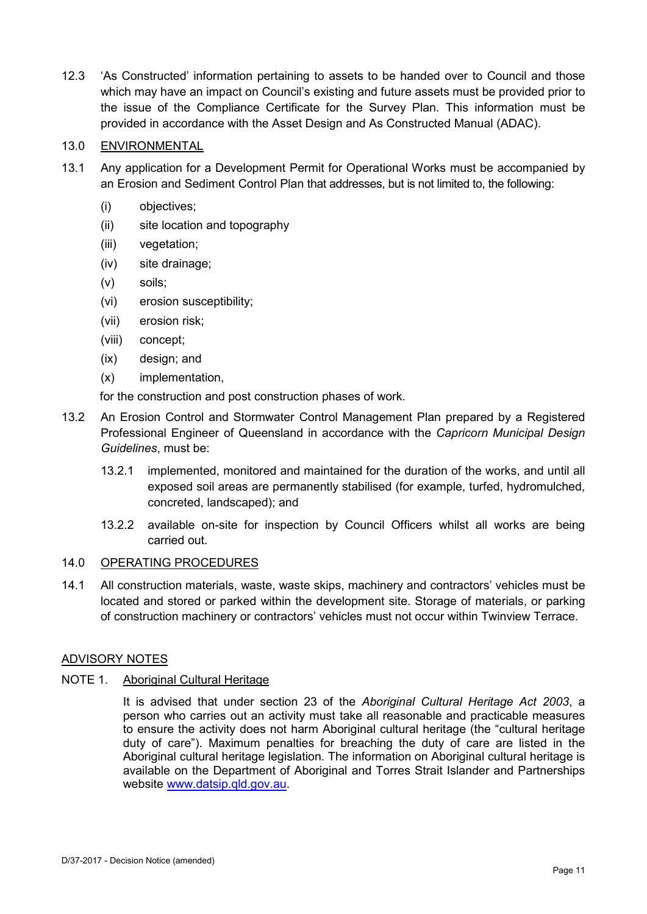12.3 'As Constructed' information pertaining to assets to be handed over to Council and those which may have an impact on Council's existing and future assets must be provided prior to the issue of the Compliance Certificate for the Survey Plan. This information must be provided in accordance with the Asset Design and As Constructed Manual (ADAC).

# 13.0 ENVIRONMENTAL

- 13.1 Any application for a Development Permit for Operational Works must be accompanied by an Erosion and Sediment Control Plan that addresses, but is not limited to, the following:
	- (i) objectives;
	- (ii) site location and topography
	- (iii) vegetation:
	- (iv) site drainage;
	- (v) soils;
	- (vi) erosion susceptibility;
	- (vii) erosion risk;
	- (viii) concept;
	- (ix) design; and
	- (x) implementation,
	- for the construction and post construction phases of work.
- 13.2 An Erosion Control and Stormwater Control Management Plan prepared by a Registered Professional Engineer of Queensland in accordance with the *Capricorn Municipal Design Guidelines*, must be:
	- 13.2.1 implemented, monitored and maintained for the duration of the works, and until all exposed soil areas are permanently stabilised (for example, turfed, hydromulched, concreted, landscaped); and
	- 13.2.2 available on-site for inspection by Council Officers whilst all works are being carried out.

# 14.0 OPERATING PROCEDURES

14.1 All construction materials, waste, waste skips, machinery and contractors' vehicles must be located and stored or parked within the development site. Storage of materials, or parking of construction machinery or contractors' vehicles must not occur within Twinview Terrace.

# ADVISORY NOTES

# NOTE 1. Aboriginal Cultural Heritage

It is advised that under section 23 of the *Aboriginal Cultural Heritage Act 2003*, a person who carries out an activity must take all reasonable and practicable measures to ensure the activity does not harm Aboriginal cultural heritage (the "cultural heritage duty of care"). Maximum penalties for breaching the duty of care are listed in the Aboriginal cultural heritage legislation. The information on Aboriginal cultural heritage is available on the Department of Aboriginal and Torres Strait Islander and Partnerships website [www.datsip.qld.gov.au.](http://www.datsip.qld.gov.au/)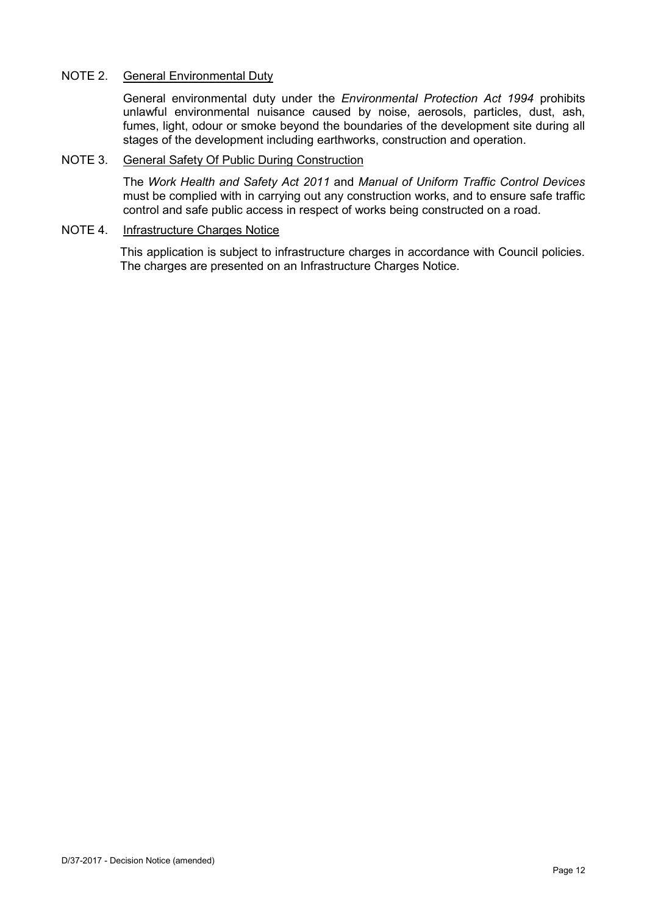# NOTE 2. General Environmental Duty

General environmental duty under the *Environmental Protection Act 1994* prohibits unlawful environmental nuisance caused by noise, aerosols, particles, dust, ash, fumes, light, odour or smoke beyond the boundaries of the development site during all stages of the development including earthworks, construction and operation.

#### NOTE 3. General Safety Of Public During Construction

The *Work Health and Safety Act 2011* and *Manual of Uniform Traffic Control Devices* must be complied with in carrying out any construction works, and to ensure safe traffic control and safe public access in respect of works being constructed on a road.

# NOTE 4. Infrastructure Charges Notice

This application is subject to infrastructure charges in accordance with Council policies. The charges are presented on an Infrastructure Charges Notice.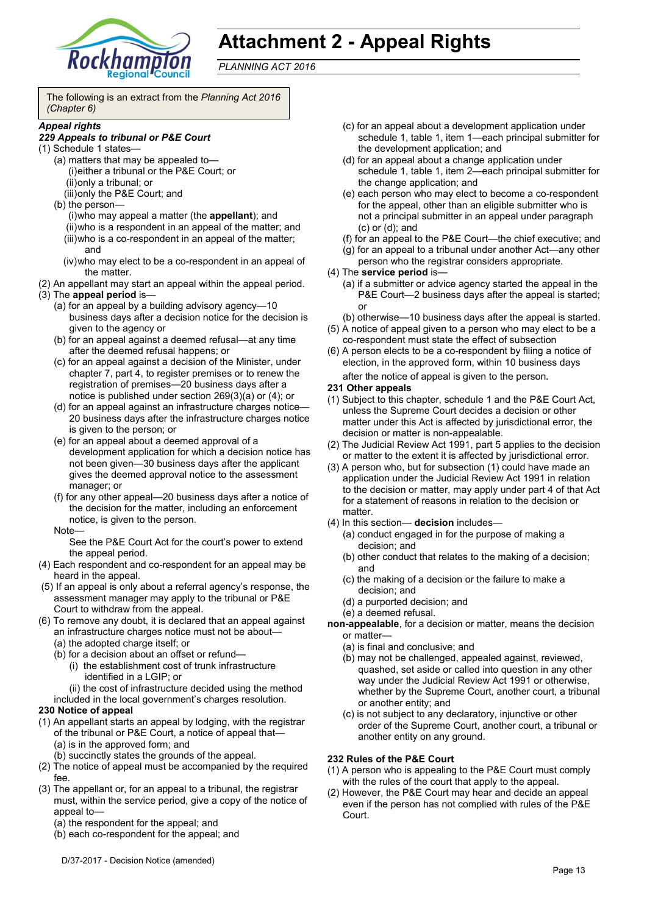

# **Attachment 2 - Appeal Rights**

*PLANNING ACT 2016*

The following is an extract from the *Planning Act 2016 (Chapter 6)*

#### *Appeal rights*

#### *229 Appeals to tribunal or P&E Court*

- (1) Schedule 1 states—
	- (a) matters that may be appealed to— (i)either a tribunal or the P&E Court; or (ii)only a tribunal; or
	- (iii)only the P&E Court; and

(b) the person— (i)who may appeal a matter (the **appellant**); and (ii)who is a respondent in an appeal of the matter; and (iii)who is a co-respondent in an appeal of the matter; and

- (iv)who may elect to be a co-respondent in an appeal of the matter.
- (2) An appellant may start an appeal within the appeal period.
- (3) The **appeal period** is—
	- (a) for an appeal by a building advisory agency—10 business days after a decision notice for the decision is given to the agency or
	- (b) for an appeal against a deemed refusal—at any time after the deemed refusal happens; or
	- (c) for an appeal against a decision of the Minister, under chapter 7, part 4, to register premises or to renew the registration of premises—20 business days after a notice is published under section 269(3)(a) or (4); or
	- (d) for an appeal against an infrastructure charges notice— 20 business days after the infrastructure charges notice is given to the person; or
	- (e) for an appeal about a deemed approval of a development application for which a decision notice has not been given—30 business days after the applicant gives the deemed approval notice to the assessment manager; or
	- (f) for any other appeal—20 business days after a notice of the decision for the matter, including an enforcement notice, is given to the person. Note—

See the P&E Court Act for the court's power to extend the appeal period.

- (4) Each respondent and co-respondent for an appeal may be heard in the appeal.
- (5) If an appeal is only about a referral agency's response, the assessment manager may apply to the tribunal or P&E Court to withdraw from the appeal.
- (6) To remove any doubt, it is declared that an appeal against
	- an infrastructure charges notice must not be about— (a) the adopted charge itself; or
	- (b) for a decision about an offset or refund—
		- (i) the establishment cost of trunk infrastructure identified in a LGIP; or
		- (ii) the cost of infrastructure decided using the method

included in the local government's charges resolution.

#### **230 Notice of appeal**

- (1) An appellant starts an appeal by lodging, with the registrar of the tribunal or P&E Court, a notice of appeal that—
	- (a) is in the approved form; and
	- (b) succinctly states the grounds of the appeal.
- (2) The notice of appeal must be accompanied by the required fee.
- (3) The appellant or, for an appeal to a tribunal, the registrar must, within the service period, give a copy of the notice of appeal to—
	- (a) the respondent for the appeal; and
	- (b) each co-respondent for the appeal; and
- (d) for an appeal about a change application under schedule 1, table 1, item 2—each principal submitter for the change application; and
- (e) each person who may elect to become a co-respondent for the appeal, other than an eligible submitter who is not a principal submitter in an appeal under paragraph (c) or (d); and
- (f) for an appeal to the P&E Court—the chief executive; and
- (g) for an appeal to a tribunal under another Act—any other person who the registrar considers appropriate.
- (4) The **service period** is—
	- (a) if a submitter or advice agency started the appeal in the P&E Court—2 business days after the appeal is started; or
	- (b) otherwise—10 business days after the appeal is started.
- (5) A notice of appeal given to a person who may elect to be a co-respondent must state the effect of subsection
- (6) A person elects to be a co-respondent by filing a notice of election, in the approved form, within 10 business days after the notice of appeal is given to the person*.*

# **231 Other appeals**

- (1) Subject to this chapter, schedule 1 and the P&E Court Act, unless the Supreme Court decides a decision or other matter under this Act is affected by jurisdictional error, the decision or matter is non-appealable.
- (2) The Judicial Review Act 1991, part 5 applies to the decision or matter to the extent it is affected by jurisdictional error.
- (3) A person who, but for subsection (1) could have made an application under the Judicial Review Act 1991 in relation to the decision or matter, may apply under part 4 of that Act for a statement of reasons in relation to the decision or matter.
- (4) In this section— **decision** includes—
	- (a) conduct engaged in for the purpose of making a decision; and
	- (b) other conduct that relates to the making of a decision; and
	- (c) the making of a decision or the failure to make a decision; and
	- (d) a purported decision; and
	- (e) a deemed refusal.

**non-appealable**, for a decision or matter, means the decision or matter—

- (a) is final and conclusive; and
- (b) may not be challenged, appealed against, reviewed, quashed, set aside or called into question in any other way under the Judicial Review Act 1991 or otherwise, whether by the Supreme Court, another court, a tribunal or another entity; and
- (c) is not subject to any declaratory, injunctive or other order of the Supreme Court, another court, a tribunal or another entity on any ground.

#### **232 Rules of the P&E Court**

- (1) A person who is appealing to the P&E Court must comply with the rules of the court that apply to the appeal.
- (2) However, the P&E Court may hear and decide an appeal even if the person has not complied with rules of the P&E Court.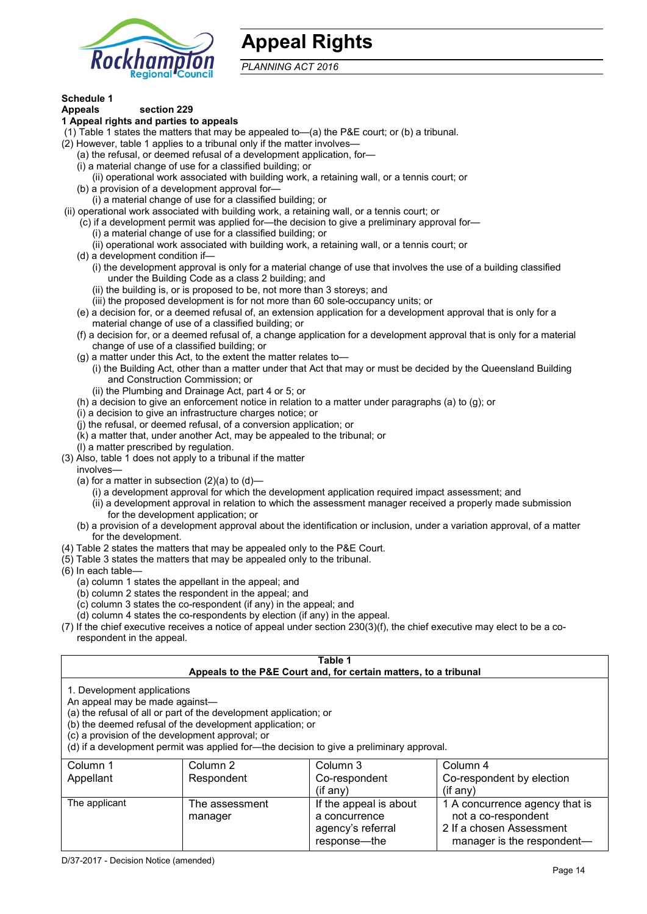

# **Appeal Rights**

*PLANNING ACT 2016*

# **Schedule 1**

#### **Appeals section 229 1 Appeal rights and parties to appeals**

- (1) Table 1 states the matters that may be appealed to—(a) the P&E court; or (b) a tribunal.
- (2) However, table 1 applies to a tribunal only if the matter involves—
	- (a) the refusal, or deemed refusal of a development application, for—
	- (i) a material change of use for a classified building; or
	- (ii) operational work associated with building work, a retaining wall, or a tennis court; or
	- (b) a provision of a development approval for—
	- (i) a material change of use for a classified building; or
- (ii) operational work associated with building work, a retaining wall, or a tennis court; or
	- (c) if a development permit was applied for—the decision to give a preliminary approval for—
		- (i) a material change of use for a classified building; or
		- (ii) operational work associated with building work, a retaining wall, or a tennis court; or
	- (d) a development condition if—
		- (i) the development approval is only for a material change of use that involves the use of a building classified under the Building Code as a class 2 building; and
		- (ii) the building is, or is proposed to be, not more than 3 storeys; and
		- (iii) the proposed development is for not more than 60 sole-occupancy units; or
	- (e) a decision for, or a deemed refusal of, an extension application for a development approval that is only for a material change of use of a classified building; or
	- (f) a decision for, or a deemed refusal of, a change application for a development approval that is only for a material change of use of a classified building; or
	- (g) a matter under this Act, to the extent the matter relates to—
		- (i) the Building Act, other than a matter under that Act that may or must be decided by the Queensland Building and Construction Commission; or
		- (ii) the Plumbing and Drainage Act, part 4 or 5; or
	- (h) a decision to give an enforcement notice in relation to a matter under paragraphs (a) to (g); or
	- (i) a decision to give an infrastructure charges notice; or
	- (j) the refusal, or deemed refusal, of a conversion application; or
	- (k) a matter that, under another Act, may be appealed to the tribunal; or
	- (l) a matter prescribed by regulation.
- (3) Also, table 1 does not apply to a tribunal if the matter
- involves—
	- (a) for a matter in subsection  $(2)(a)$  to  $(d)$ 
		- (i) a development approval for which the development application required impact assessment; and
		- (ii) a development approval in relation to which the assessment manager received a properly made submission for the development application; or
	- (b) a provision of a development approval about the identification or inclusion, under a variation approval, of a matter for the development.
- (4) Table 2 states the matters that may be appealed only to the P&E Court.
- (5) Table 3 states the matters that may be appealed only to the tribunal.
- (6) In each table—
	- (a) column 1 states the appellant in the appeal; and
	- (b) column 2 states the respondent in the appeal; and
	- (c) column 3 states the co-respondent (if any) in the appeal; and
	- (d) column 4 states the co-respondents by election (if any) in the appeal.
- (7) If the chief executive receives a notice of appeal under section 230(3)(f), the chief executive may elect to be a corespondent in the appeal.

| Table 1<br>Appeals to the P&E Court and, for certain matters, to a tribunal                                                                                                                                                                                                                                                                    |                           |                                                                              |                                                                                                                 |
|------------------------------------------------------------------------------------------------------------------------------------------------------------------------------------------------------------------------------------------------------------------------------------------------------------------------------------------------|---------------------------|------------------------------------------------------------------------------|-----------------------------------------------------------------------------------------------------------------|
| 1. Development applications<br>An appeal may be made against-<br>(a) the refusal of all or part of the development application; or<br>(b) the deemed refusal of the development application; or<br>(c) a provision of the development approval; or<br>(d) if a development permit was applied for—the decision to give a preliminary approval. |                           |                                                                              |                                                                                                                 |
| Column 1<br>Appellant                                                                                                                                                                                                                                                                                                                          | Column 2<br>Respondent    | Column 3<br>Co-respondent<br>$($ if any $)$                                  | Column 4<br>Co-respondent by election<br>(i f an y)                                                             |
| The applicant                                                                                                                                                                                                                                                                                                                                  | The assessment<br>manager | If the appeal is about<br>a concurrence<br>agency's referral<br>response—the | 1 A concurrence agency that is<br>not a co-respondent<br>2 If a chosen Assessment<br>manager is the respondent- |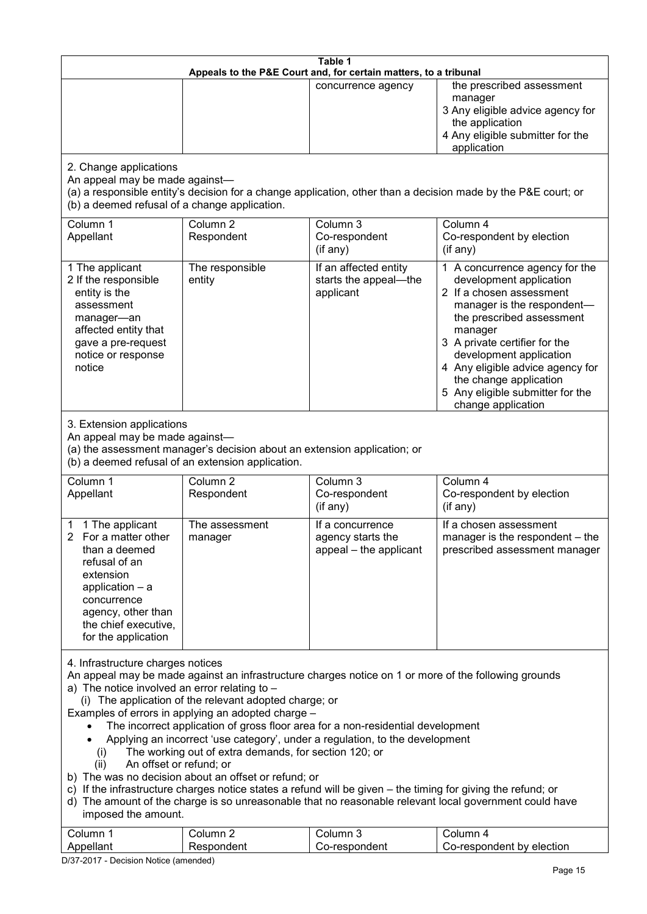| Table 1<br>Appeals to the P&E Court and, for certain matters, to a tribunal                                                                                                                                                                                                                                                                                                                                                                                                                                                                                                                                                                                                                                                                                                                                                                                                                                                               |                                                                                                                               |                                                                 |                                                                                                                                                                                                                                                                                                                                                 |
|-------------------------------------------------------------------------------------------------------------------------------------------------------------------------------------------------------------------------------------------------------------------------------------------------------------------------------------------------------------------------------------------------------------------------------------------------------------------------------------------------------------------------------------------------------------------------------------------------------------------------------------------------------------------------------------------------------------------------------------------------------------------------------------------------------------------------------------------------------------------------------------------------------------------------------------------|-------------------------------------------------------------------------------------------------------------------------------|-----------------------------------------------------------------|-------------------------------------------------------------------------------------------------------------------------------------------------------------------------------------------------------------------------------------------------------------------------------------------------------------------------------------------------|
|                                                                                                                                                                                                                                                                                                                                                                                                                                                                                                                                                                                                                                                                                                                                                                                                                                                                                                                                           |                                                                                                                               | concurrence agency                                              | the prescribed assessment<br>manager<br>3 Any eligible advice agency for<br>the application<br>4 Any eligible submitter for the<br>application                                                                                                                                                                                                  |
| 2. Change applications<br>An appeal may be made against-<br>(b) a deemed refusal of a change application.                                                                                                                                                                                                                                                                                                                                                                                                                                                                                                                                                                                                                                                                                                                                                                                                                                 |                                                                                                                               |                                                                 | (a) a responsible entity's decision for a change application, other than a decision made by the P&E court; or                                                                                                                                                                                                                                   |
| Column 1<br>Appellant                                                                                                                                                                                                                                                                                                                                                                                                                                                                                                                                                                                                                                                                                                                                                                                                                                                                                                                     | Column <sub>2</sub><br>Respondent                                                                                             | Column 3<br>Co-respondent<br>(if any)                           | Column 4<br>Co-respondent by election<br>(if any)                                                                                                                                                                                                                                                                                               |
| 1 The applicant<br>2 If the responsible<br>entity is the<br>assessment<br>manager-an<br>affected entity that<br>gave a pre-request<br>notice or response<br>notice                                                                                                                                                                                                                                                                                                                                                                                                                                                                                                                                                                                                                                                                                                                                                                        | The responsible<br>entity                                                                                                     | If an affected entity<br>starts the appeal-the<br>applicant     | 1 A concurrence agency for the<br>development application<br>2 If a chosen assessment<br>manager is the respondent-<br>the prescribed assessment<br>manager<br>3 A private certifier for the<br>development application<br>4 Any eligible advice agency for<br>the change application<br>5 Any eligible submitter for the<br>change application |
| 3. Extension applications<br>An appeal may be made against-                                                                                                                                                                                                                                                                                                                                                                                                                                                                                                                                                                                                                                                                                                                                                                                                                                                                               | (a) the assessment manager's decision about an extension application; or<br>(b) a deemed refusal of an extension application. |                                                                 |                                                                                                                                                                                                                                                                                                                                                 |
| Column 1<br>Appellant                                                                                                                                                                                                                                                                                                                                                                                                                                                                                                                                                                                                                                                                                                                                                                                                                                                                                                                     | Column <sub>2</sub><br>Respondent                                                                                             | Column 3<br>Co-respondent<br>(if any)                           | Column 4<br>Co-respondent by election<br>(if any)                                                                                                                                                                                                                                                                                               |
| 1 The applicant<br>2 For a matter other<br>than a deemed<br>refusal of an<br>extension<br>application $-$ a<br>concurrence<br>agency, other than<br>the chief executive,<br>for the application                                                                                                                                                                                                                                                                                                                                                                                                                                                                                                                                                                                                                                                                                                                                           | The assessment<br>manager                                                                                                     | If a concurrence<br>agency starts the<br>appeal - the applicant | If a chosen assessment<br>manager is the respondent - the<br>prescribed assessment manager                                                                                                                                                                                                                                                      |
| 4. Infrastructure charges notices<br>An appeal may be made against an infrastructure charges notice on 1 or more of the following grounds<br>a) The notice involved an error relating to -<br>(i) The application of the relevant adopted charge; or<br>Examples of errors in applying an adopted charge -<br>The incorrect application of gross floor area for a non-residential development<br>Applying an incorrect 'use category', under a regulation, to the development<br>The working out of extra demands, for section 120; or<br>(i)<br>An offset or refund; or<br>(ii)<br>b) The was no decision about an offset or refund; or<br>c) If the infrastructure charges notice states a refund will be given – the timing for giving the refund; or<br>d) The amount of the charge is so unreasonable that no reasonable relevant local government could have<br>imposed the amount.<br>Column 3<br>Column 1<br>Column 2<br>Column 4 |                                                                                                                               |                                                                 |                                                                                                                                                                                                                                                                                                                                                 |
| Appellant                                                                                                                                                                                                                                                                                                                                                                                                                                                                                                                                                                                                                                                                                                                                                                                                                                                                                                                                 | Respondent                                                                                                                    | Co-respondent                                                   | Co-respondent by election                                                                                                                                                                                                                                                                                                                       |

D/37-2017 - Decision Notice (amended)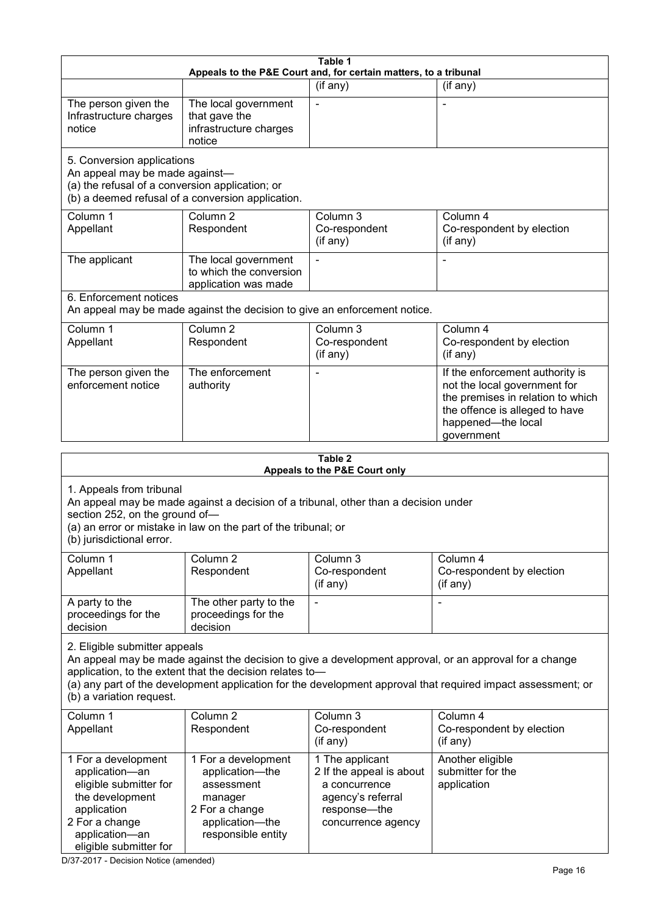|                                                                                                                                                                 |                                                                                                                                                       | Table 1                                                                                                                 |                                                                                                                                                                                                                        |  |  |
|-----------------------------------------------------------------------------------------------------------------------------------------------------------------|-------------------------------------------------------------------------------------------------------------------------------------------------------|-------------------------------------------------------------------------------------------------------------------------|------------------------------------------------------------------------------------------------------------------------------------------------------------------------------------------------------------------------|--|--|
|                                                                                                                                                                 |                                                                                                                                                       | Appeals to the P&E Court and, for certain matters, to a tribunal                                                        |                                                                                                                                                                                                                        |  |  |
| The person given the<br>Infrastructure charges<br>notice                                                                                                        | The local government<br>that gave the<br>infrastructure charges<br>notice                                                                             | (if any)                                                                                                                | (if any)                                                                                                                                                                                                               |  |  |
| 5. Conversion applications<br>An appeal may be made against-<br>(a) the refusal of a conversion application; or                                                 | (b) a deemed refusal of a conversion application.                                                                                                     |                                                                                                                         |                                                                                                                                                                                                                        |  |  |
| Column 1<br>Appellant                                                                                                                                           | Column <sub>2</sub><br>Respondent                                                                                                                     | Column 3<br>Co-respondent<br>(if any)                                                                                   | Column 4<br>Co-respondent by election<br>(if any)                                                                                                                                                                      |  |  |
| The applicant                                                                                                                                                   | The local government<br>to which the conversion<br>application was made                                                                               |                                                                                                                         |                                                                                                                                                                                                                        |  |  |
| 6. Enforcement notices                                                                                                                                          | An appeal may be made against the decision to give an enforcement notice.                                                                             |                                                                                                                         |                                                                                                                                                                                                                        |  |  |
| Column 1<br>Appellant                                                                                                                                           | Column <sub>2</sub><br>Respondent                                                                                                                     | Column 3<br>Co-respondent<br>(if any)                                                                                   | Column 4<br>Co-respondent by election<br>(if any)                                                                                                                                                                      |  |  |
| The person given the<br>enforcement notice                                                                                                                      | The enforcement<br>authority                                                                                                                          |                                                                                                                         | If the enforcement authority is<br>not the local government for<br>the premises in relation to which<br>the offence is alleged to have<br>happened-the local<br>government                                             |  |  |
| Table 2                                                                                                                                                         |                                                                                                                                                       |                                                                                                                         |                                                                                                                                                                                                                        |  |  |
| 1. Appeals from tribunal<br>section 252, on the ground of-<br>(b) jurisdictional error.                                                                         | An appeal may be made against a decision of a tribunal, other than a decision under<br>(a) an error or mistake in law on the part of the tribunal; or | Appeals to the P&E Court only                                                                                           |                                                                                                                                                                                                                        |  |  |
| Column 1<br>Appellant                                                                                                                                           | Column <sub>2</sub><br>Respondent                                                                                                                     | Column 3<br>Co-respondent<br>(if any)                                                                                   | Column 4<br>Co-respondent by election<br>(if any)                                                                                                                                                                      |  |  |
| A party to the<br>proceedings for the<br>decision                                                                                                               | The other party to the<br>proceedings for the<br>decision                                                                                             |                                                                                                                         |                                                                                                                                                                                                                        |  |  |
| 2. Eligible submitter appeals<br>(b) a variation request.                                                                                                       | application, to the extent that the decision relates to-                                                                                              |                                                                                                                         | An appeal may be made against the decision to give a development approval, or an approval for a change<br>(a) any part of the development application for the development approval that required impact assessment; or |  |  |
| Column 1<br>Appellant                                                                                                                                           | Column <sub>2</sub><br>Respondent                                                                                                                     | Column 3<br>Co-respondent<br>(if any)                                                                                   | Column 4<br>Co-respondent by election<br>(if any)                                                                                                                                                                      |  |  |
| 1 For a development<br>application-an<br>eligible submitter for<br>the development<br>application<br>2 For a change<br>application-an<br>eligible submitter for | 1 For a development<br>application-the<br>assessment<br>manager<br>2 For a change<br>application-the<br>responsible entity                            | 1 The applicant<br>2 If the appeal is about<br>a concurrence<br>agency's referral<br>response-the<br>concurrence agency | Another eligible<br>submitter for the<br>application                                                                                                                                                                   |  |  |

D/37-2017 - Decision Notice (amended)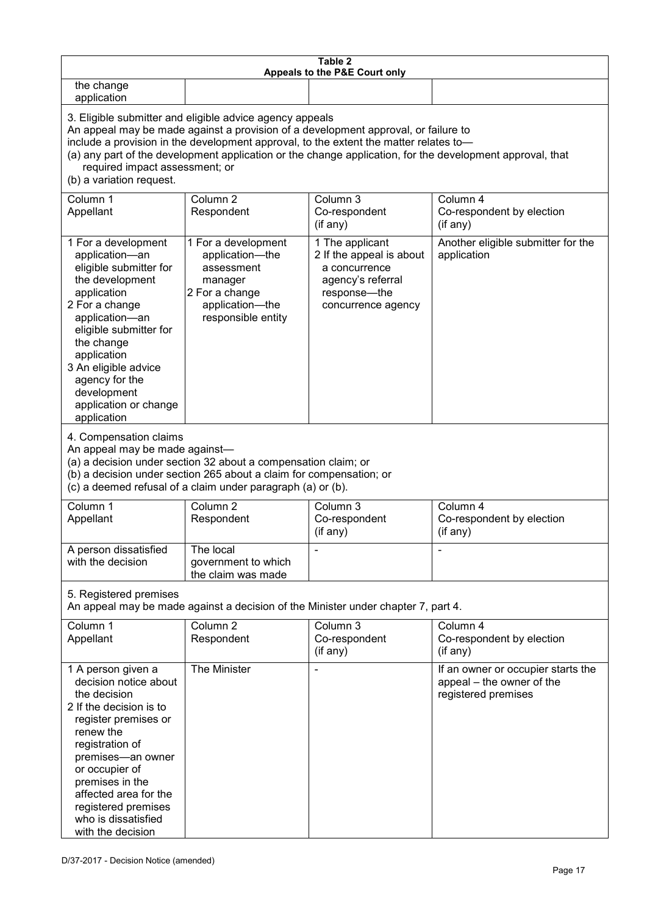| Table 2<br>Appeals to the P&E Court only                                                                                                                                                                                                                                                                                                                                                                           |                                                                                                                            |                                                                                                                         |                                                                                        |  |
|--------------------------------------------------------------------------------------------------------------------------------------------------------------------------------------------------------------------------------------------------------------------------------------------------------------------------------------------------------------------------------------------------------------------|----------------------------------------------------------------------------------------------------------------------------|-------------------------------------------------------------------------------------------------------------------------|----------------------------------------------------------------------------------------|--|
| the change<br>application                                                                                                                                                                                                                                                                                                                                                                                          |                                                                                                                            |                                                                                                                         |                                                                                        |  |
| 3. Eligible submitter and eligible advice agency appeals<br>An appeal may be made against a provision of a development approval, or failure to<br>include a provision in the development approval, to the extent the matter relates to-<br>(a) any part of the development application or the change application, for the development approval, that<br>required impact assessment; or<br>(b) a variation request. |                                                                                                                            |                                                                                                                         |                                                                                        |  |
| Column 1<br>Appellant                                                                                                                                                                                                                                                                                                                                                                                              | Column <sub>2</sub><br>Respondent                                                                                          | Column 3<br>Co-respondent<br>(if any)                                                                                   | Column 4<br>Co-respondent by election<br>(if any)                                      |  |
| 1 For a development<br>application-an<br>eligible submitter for<br>the development<br>application<br>2 For a change<br>application-an<br>eligible submitter for<br>the change<br>application<br>3 An eligible advice<br>agency for the<br>development<br>application or change<br>application                                                                                                                      | 1 For a development<br>application-the<br>assessment<br>manager<br>2 For a change<br>application-the<br>responsible entity | 1 The applicant<br>2 If the appeal is about<br>a concurrence<br>agency's referral<br>response-the<br>concurrence agency | Another eligible submitter for the<br>application                                      |  |
| 4. Compensation claims<br>An appeal may be made against-<br>(a) a decision under section 32 about a compensation claim; or<br>(b) a decision under section 265 about a claim for compensation; or<br>(c) a deemed refusal of a claim under paragraph (a) or (b).                                                                                                                                                   |                                                                                                                            |                                                                                                                         |                                                                                        |  |
| Column 1<br>Appellant                                                                                                                                                                                                                                                                                                                                                                                              | Column 2<br>Respondent                                                                                                     | Column 3<br>Co-respondent<br>(if any)                                                                                   | Column 4<br>Co-respondent by election<br>(if any)                                      |  |
| A person dissatisfied<br>with the decision                                                                                                                                                                                                                                                                                                                                                                         | The local<br>government to which<br>the claim was made                                                                     |                                                                                                                         |                                                                                        |  |
| 5. Registered premises                                                                                                                                                                                                                                                                                                                                                                                             |                                                                                                                            | An appeal may be made against a decision of the Minister under chapter 7, part 4.                                       |                                                                                        |  |
| Column 1<br>Appellant                                                                                                                                                                                                                                                                                                                                                                                              | Column <sub>2</sub><br>Respondent                                                                                          | Column 3<br>Co-respondent<br>(if any)                                                                                   | Column 4<br>Co-respondent by election<br>(if any)                                      |  |
| 1 A person given a<br>decision notice about<br>the decision<br>2 If the decision is to<br>register premises or<br>renew the<br>registration of<br>premises-an owner<br>or occupier of<br>premises in the<br>affected area for the<br>registered premises<br>who is dissatisfied<br>with the decision                                                                                                               | The Minister                                                                                                               |                                                                                                                         | If an owner or occupier starts the<br>appeal - the owner of the<br>registered premises |  |